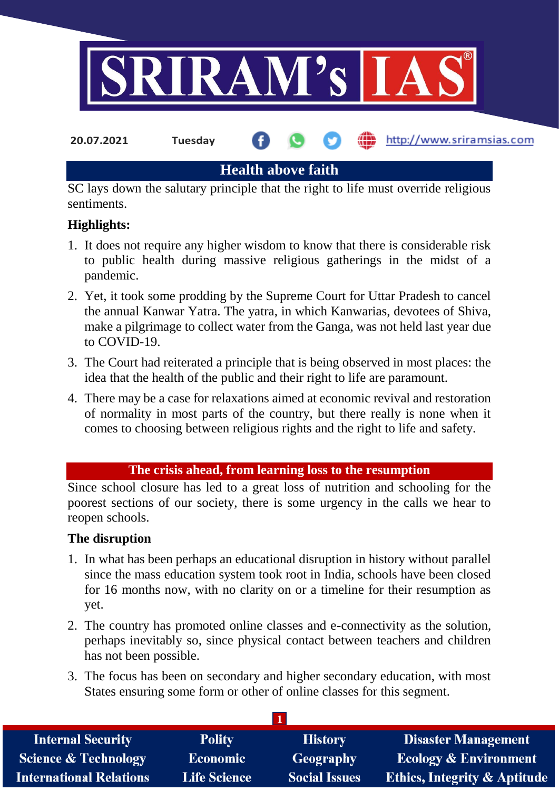

**20.07.2021 Tuesday**

http://www.sriramsias.com

**Health above faith**

SC lays down the salutary principle that the right to life must override religious sentiments.

# **Highlights:**

- 1. It does not require any higher wisdom to know that there is considerable risk to public health during massive religious gatherings in the midst of a pandemic.
- 2. Yet, it took some prodding by the Supreme Court for Uttar Pradesh to cancel the annual Kanwar Yatra. The yatra, in which Kanwarias, devotees of Shiva, make a pilgrimage to collect water from the Ganga, was not held last year due to COVID-19.
- 3. The Court had reiterated a principle that is being observed in most places: the idea that the health of the public and their right to life are paramount.
- 4. There may be a case for relaxations aimed at economic revival and restoration of normality in most parts of the country, but there really is none when it comes to choosing between religious rights and the right to life and safety.

### **The crisis ahead, from learning loss to the resumption**

Since school closure has led to a great loss of nutrition and schooling for the poorest sections of our society, there is some urgency in the calls we hear to reopen schools.

## **The disruption**

- 1. In what has been perhaps an educational disruption in history without parallel since the mass education system took root in India, schools have been closed for 16 months now, with no clarity on or a timeline for their resumption as yet.
- 2. The country has promoted online classes and e-connectivity as the solution, perhaps inevitably so, since physical contact between teachers and children has not been possible.
- 3. The focus has been on secondary and higher secondary education, with most States ensuring some form or other of online classes for this segment.

| <b>Internal Security</b>        | <b>Polity</b>       | <b>History</b>       | <b>Disaster Management</b>              |
|---------------------------------|---------------------|----------------------|-----------------------------------------|
| <b>Science &amp; Technology</b> | <b>Economic</b>     | Geography            | <b>Ecology &amp; Environment</b>        |
| <b>International Relations</b>  | <b>Life Science</b> | <b>Social Issues</b> | <b>Ethics, Integrity &amp; Aptitude</b> |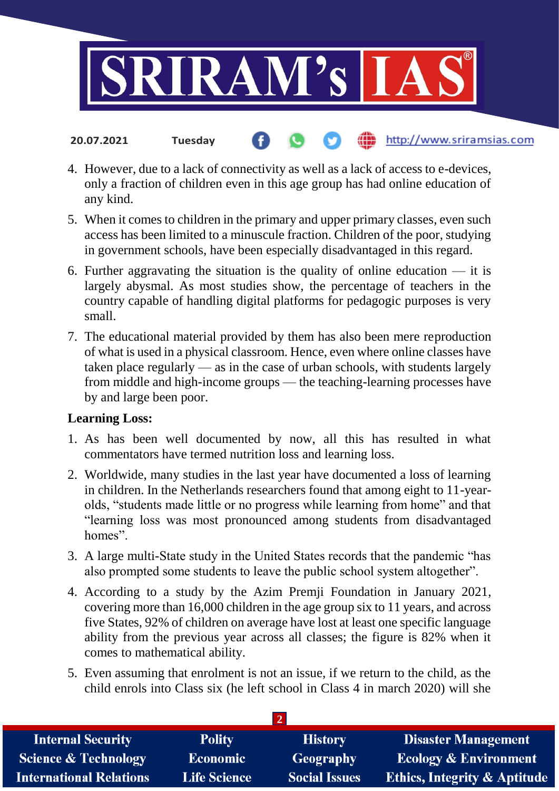

#### http://www.sriramsias.com **20.07.2021 Tuesday**

- 4. However, due to a lack of connectivity as well as a lack of access to e-devices, only a fraction of children even in this age group has had online education of any kind.
- 5. When it comes to children in the primary and upper primary classes, even such access has been limited to a minuscule fraction. Children of the poor, studying in government schools, have been especially disadvantaged in this regard.
- 6. Further aggravating the situation is the quality of online education  $-$  it is largely abysmal. As most studies show, the percentage of teachers in the country capable of handling digital platforms for pedagogic purposes is very small.
- 7. The educational material provided by them has also been mere reproduction of what is used in a physical classroom. Hence, even where online classes have taken place regularly — as in the case of urban schools, with students largely from middle and high-income groups — the teaching-learning processes have by and large been poor.

### **Learning Loss:**

- 1. As has been well documented by now, all this has resulted in what commentators have termed nutrition loss and learning loss.
- 2. Worldwide, many studies in the last year have documented a loss of learning in children. In the Netherlands researchers found that among eight to 11-yearolds, "students made little or no progress while learning from home" and that "learning loss was most pronounced among students from disadvantaged homes".
- 3. A large multi-State study in the United States records that the pandemic "has also prompted some students to leave the public school system altogether".
- 4. According to a study by the Azim Premji Foundation in January 2021, covering more than 16,000 children in the age group six to 11 years, and across five States, 92% of children on average have lost at least one specific language ability from the previous year across all classes; the figure is 82% when it comes to mathematical ability.
- 5. Even assuming that enrolment is not an issue, if we return to the child, as the child enrols into Class six (he left school in Class 4 in march 2020) will she

| <b>Internal Security</b>        | <b>Polity</b>       | <b>History</b>       | <b>Disaster Management</b>              |
|---------------------------------|---------------------|----------------------|-----------------------------------------|
| <b>Science &amp; Technology</b> | <b>Economic</b>     | Geography            | <b>Ecology &amp; Environment</b>        |
| <b>International Relations</b>  | <b>Life Science</b> | <b>Social Issues</b> | <b>Ethics, Integrity &amp; Aptitude</b> |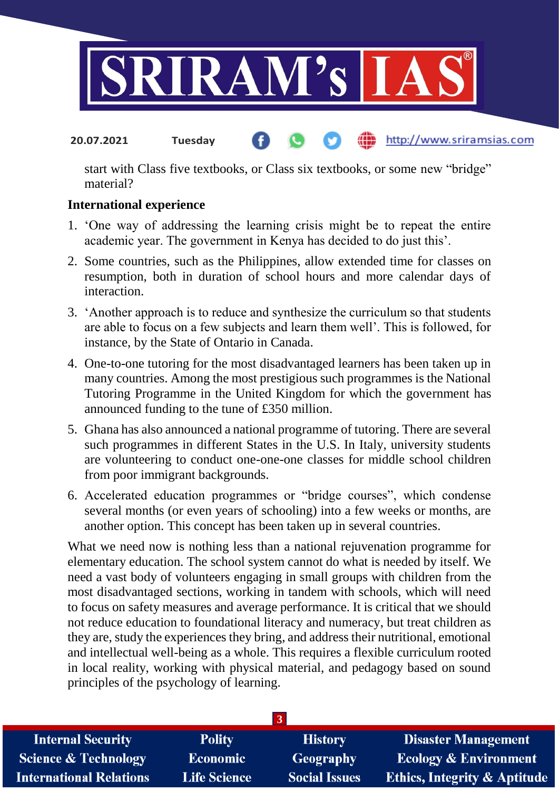

#### http://www.sriramsias.com **20.07.2021 Tuesday**

start with Class five textbooks, or Class six textbooks, or some new "bridge" material?

### **International experience**

- 1. 'One way of addressing the learning crisis might be to repeat the entire academic year. The government in Kenya has decided to do just this'.
- 2. Some countries, such as the Philippines, allow extended time for classes on resumption, both in duration of school hours and more calendar days of interaction.
- 3. 'Another approach is to reduce and synthesize the curriculum so that students are able to focus on a few subjects and learn them well'. This is followed, for instance, by the State of Ontario in Canada.
- 4. One-to-one tutoring for the most disadvantaged learners has been taken up in many countries. Among the most prestigious such programmes is the National Tutoring Programme in the United Kingdom for which the government has announced funding to the tune of £350 million.
- 5. Ghana has also announced a national programme of tutoring. There are several such programmes in different States in the U.S. In Italy, university students are volunteering to conduct one-one-one classes for middle school children from poor immigrant backgrounds.
- 6. Accelerated education programmes or "bridge courses", which condense several months (or even years of schooling) into a few weeks or months, are another option. This concept has been taken up in several countries.

What we need now is nothing less than a national rejuvenation programme for elementary education. The school system cannot do what is needed by itself. We need a vast body of volunteers engaging in small groups with children from the most disadvantaged sections, working in tandem with schools, which will need to focus on safety measures and average performance. It is critical that we should not reduce education to foundational literacy and numeracy, but treat children as they are, study the experiences they bring, and address their nutritional, emotional and intellectual well-being as a whole. This requires a flexible curriculum rooted in local reality, working with physical material, and pedagogy based on sound principles of the psychology of learning.

| <b>Internal Security</b>        | <b>Polity</b>       | <b>History</b>       | <b>Disaster Management</b>              |  |
|---------------------------------|---------------------|----------------------|-----------------------------------------|--|
| <b>Science &amp; Technology</b> | <b>Economic</b>     | Geography            | <b>Ecology &amp; Environment</b>        |  |
| <b>International Relations</b>  | <b>Life Science</b> | <b>Social Issues</b> | <b>Ethics, Integrity &amp; Aptitude</b> |  |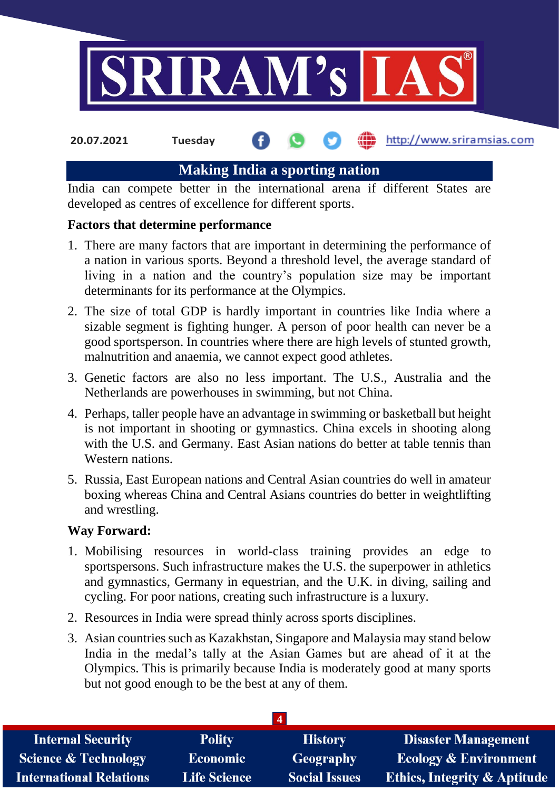

**20.07.2021 Tuesday**

### http://www.sriramsias.com

# **Making India a sporting nation**

India can compete better in the international arena if different States are developed as centres of excellence for different sports.

### **Factors that determine performance**

- 1. There are many factors that are important in determining the performance of a nation in various sports. Beyond a threshold level, the average standard of living in a nation and the country's population size may be important determinants for its performance at the Olympics.
- 2. The size of total GDP is hardly important in countries like India where a sizable segment is fighting hunger. A person of poor health can never be a good sportsperson. In countries where there are high levels of stunted growth, malnutrition and anaemia, we cannot expect good athletes.
- 3. Genetic factors are also no less important. The U.S., Australia and the Netherlands are powerhouses in swimming, but not China.
- 4. Perhaps, taller people have an advantage in swimming or basketball but height is not important in shooting or gymnastics. China excels in shooting along with the U.S. and Germany. East Asian nations do better at table tennis than Western nations.
- 5. Russia, East European nations and Central Asian countries do well in amateur boxing whereas China and Central Asians countries do better in weightlifting and wrestling.

### **Way Forward:**

- 1. Mobilising resources in world-class training provides an edge to sportspersons. Such infrastructure makes the U.S. the superpower in athletics and gymnastics, Germany in equestrian, and the U.K. in diving, sailing and cycling. For poor nations, creating such infrastructure is a luxury.
- 2. Resources in India were spread thinly across sports disciplines.
- 3. Asian countries such as Kazakhstan, Singapore and Malaysia may stand below India in the medal's tally at the Asian Games but are ahead of it at the Olympics. This is primarily because India is moderately good at many sports but not good enough to be the best at any of them.

| <b>Internal Security</b>        | <b>Polity</b>       | <b>History</b>       | <b>Disaster Management</b>       |
|---------------------------------|---------------------|----------------------|----------------------------------|
| <b>Science &amp; Technology</b> | <b>Economic</b>     | Geography            | <b>Ecology &amp; Environment</b> |
| <b>International Relations</b>  | <b>Life Science</b> | <b>Social Issues</b> | Ethics, Integrity & Aptitude     |
|                                 |                     |                      |                                  |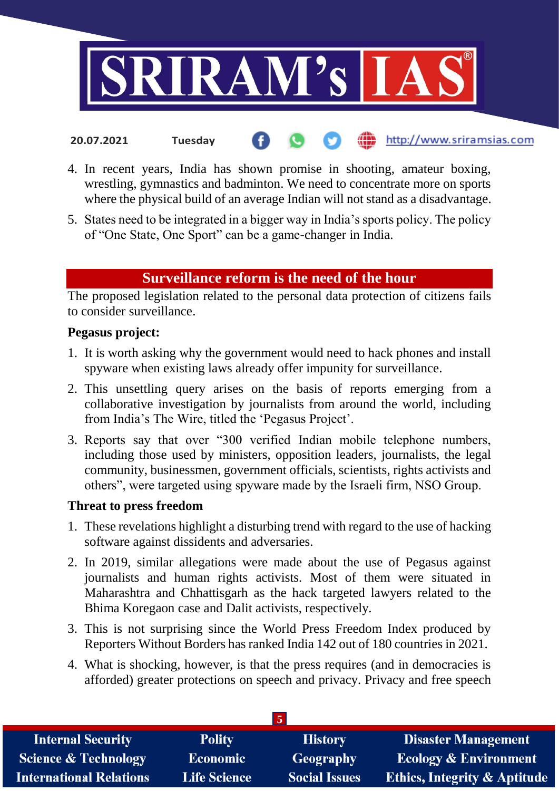

4. In recent years, India has shown promise in shooting, amateur boxing, wrestling, gymnastics and badminton. We need to concentrate more on sports where the physical build of an average Indian will not stand as a disadvantage.

http://www.sriramsias.com

5. States need to be integrated in a bigger way in India's sports policy. The policy of "One State, One Sport" can be a game-changer in India.

# **Surveillance reform is the need of the hour**

The proposed legislation related to the personal data protection of citizens fails to consider surveillance.

### **Pegasus project:**

**20.07.2021 Tuesday**

- 1. It is worth asking why the government would need to hack phones and install spyware when existing laws already offer impunity for surveillance.
- 2. This unsettling query arises on the basis of reports emerging from a collaborative investigation by journalists from around the world, including from India's The Wire, titled the 'Pegasus Project'.
- 3. Reports say that over "300 verified Indian mobile telephone numbers, including those used by ministers, opposition leaders, journalists, the legal community, businessmen, government officials, scientists, rights activists and others", were targeted using spyware made by the Israeli firm, NSO Group.

### **Threat to press freedom**

- 1. These revelations highlight a disturbing trend with regard to the use of hacking software against dissidents and adversaries.
- 2. In 2019, similar allegations were made about the use of Pegasus against journalists and human rights activists. Most of them were situated in Maharashtra and Chhattisgarh as the hack targeted lawyers related to the Bhima Koregaon case and Dalit activists, respectively.
- 3. This is not surprising since the World Press Freedom Index produced by Reporters Without Borders has ranked India 142 out of 180 countries in 2021.
- 4. What is shocking, however, is that the press requires (and in democracies is afforded) greater protections on speech and privacy. Privacy and free speech

| <b>Internal Security</b>        | <b>Polity</b>       | <b>History</b>       | <b>Disaster Management</b>              |  |
|---------------------------------|---------------------|----------------------|-----------------------------------------|--|
| <b>Science &amp; Technology</b> | <b>Economic</b>     | Geography            | <b>Ecology &amp; Environment</b>        |  |
| <b>International Relations</b>  | <b>Life Science</b> | <b>Social Issues</b> | <b>Ethics, Integrity &amp; Aptitude</b> |  |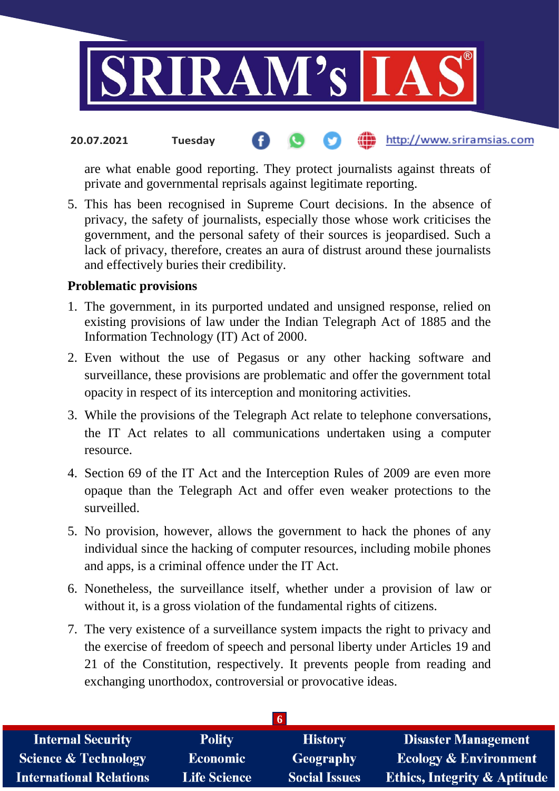

#### the http://www.sriramsias.com **20.07.2021 Tuesday**

are what enable good reporting. They protect journalists against threats of private and governmental reprisals against legitimate reporting.

5. This has been recognised in Supreme Court decisions. In the absence of privacy, the safety of journalists, especially those whose work criticises the government, and the personal safety of their sources is jeopardised. Such a lack of privacy, therefore, creates an aura of distrust around these journalists and effectively buries their credibility.

#### **Problematic provisions**

- 1. The government, in its purported undated and unsigned response, relied on existing provisions of law under the Indian Telegraph Act of 1885 and the Information Technology (IT) Act of 2000.
- 2. Even without the use of Pegasus or any other hacking software and surveillance, these provisions are problematic and offer the government total opacity in respect of its interception and monitoring activities.
- 3. While the provisions of the Telegraph Act relate to telephone conversations, the IT Act relates to all communications undertaken using a computer resource.
- 4. Section 69 of the IT Act and the Interception Rules of 2009 are even more opaque than the Telegraph Act and offer even weaker protections to the surveilled.
- 5. No provision, however, allows the government to hack the phones of any individual since the hacking of computer resources, including mobile phones and apps, is a criminal offence under the IT Act.
- 6. Nonetheless, the surveillance itself, whether under a provision of law or without it, is a gross violation of the fundamental rights of citizens.
- 7. The very existence of a surveillance system impacts the right to privacy and the exercise of freedom of speech and personal liberty under Articles 19 and 21 of the Constitution, respectively. It prevents people from reading and exchanging unorthodox, controversial or provocative ideas.

| <b>Internal Security</b>        | <b>Polity</b>       | <b>History</b>       | <b>Disaster Management</b>              |
|---------------------------------|---------------------|----------------------|-----------------------------------------|
| <b>Science &amp; Technology</b> | <b>Economic</b>     | Geography            | <b>Ecology &amp; Environment</b>        |
| <b>International Relations</b>  | <b>Life Science</b> | <b>Social Issues</b> | <b>Ethics, Integrity &amp; Aptitude</b> |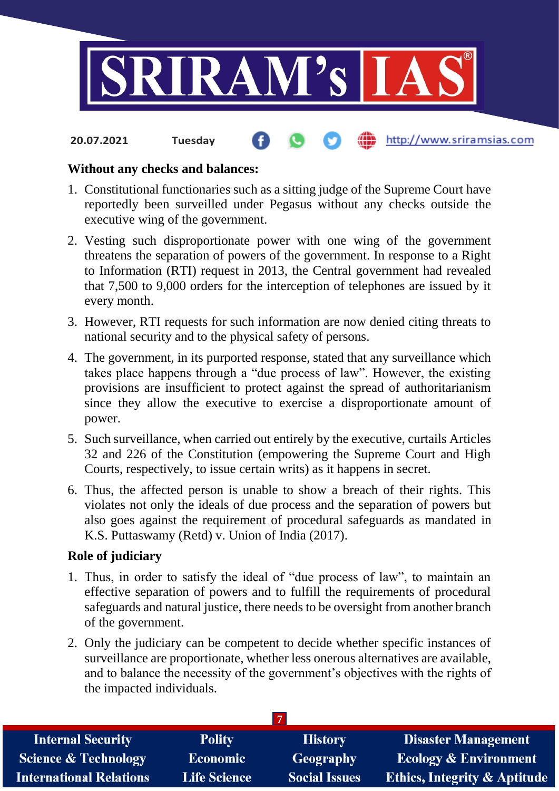

#### http://www.sriramsias.com **20.07.2021 Tuesday**

#### **Without any checks and balances:**

- 1. Constitutional functionaries such as a sitting judge of the Supreme Court have reportedly been surveilled under Pegasus without any checks outside the executive wing of the government.
- 2. Vesting such disproportionate power with one wing of the government threatens the separation of powers of the government. In response to a Right to Information (RTI) request in 2013, the Central government had revealed that 7,500 to 9,000 orders for the interception of telephones are issued by it every month.
- 3. However, RTI requests for such information are now denied citing threats to national security and to the physical safety of persons.
- 4. The government, in its purported response, stated that any surveillance which takes place happens through a "due process of law". However, the existing provisions are insufficient to protect against the spread of authoritarianism since they allow the executive to exercise a disproportionate amount of power.
- 5. Such surveillance, when carried out entirely by the executive, curtails Articles 32 and 226 of the Constitution (empowering the Supreme Court and High Courts, respectively, to issue certain writs) as it happens in secret.
- 6. Thus, the affected person is unable to show a breach of their rights. This violates not only the ideals of due process and the separation of powers but also goes against the requirement of procedural safeguards as mandated in K.S. Puttaswamy (Retd) v. Union of India (2017).

### **Role of judiciary**

- 1. Thus, in order to satisfy the ideal of "due process of law", to maintain an effective separation of powers and to fulfill the requirements of procedural safeguards and natural justice, there needs to be oversight from another branch of the government.
- 2. Only the judiciary can be competent to decide whether specific instances of surveillance are proportionate, whether less onerous alternatives are available, and to balance the necessity of the government's objectives with the rights of the impacted individuals.

| <b>Internal Security</b>        | <b>Polity</b>       | <b>History</b>       | <b>Disaster Management</b>       |
|---------------------------------|---------------------|----------------------|----------------------------------|
| <b>Science &amp; Technology</b> | <b>Economic</b>     | Geography            | <b>Ecology &amp; Environment</b> |
| <b>International Relations</b>  | <b>Life Science</b> | <b>Social Issues</b> | Ethics, Integrity & Aptitude     |